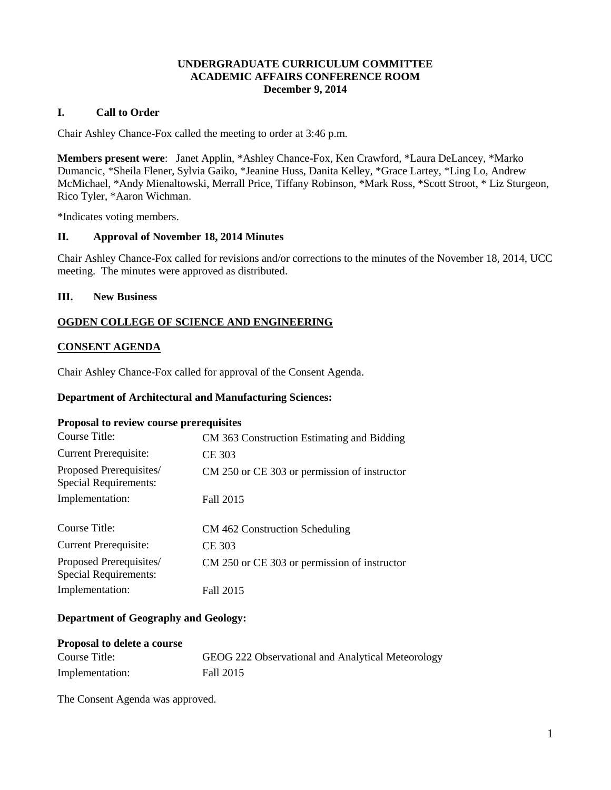## **UNDERGRADUATE CURRICULUM COMMITTEE ACADEMIC AFFAIRS CONFERENCE ROOM December 9, 2014**

## **I. Call to Order**

Chair Ashley Chance-Fox called the meeting to order at 3:46 p.m.

**Members present were**: Janet Applin, \*Ashley Chance-Fox, Ken Crawford, \*Laura DeLancey, \*Marko Dumancic, \*Sheila Flener, Sylvia Gaiko, \*Jeanine Huss, Danita Kelley, \*Grace Lartey, \*Ling Lo, Andrew McMichael, \*Andy Mienaltowski, Merrall Price, Tiffany Robinson, \*Mark Ross, \*Scott Stroot, \* Liz Sturgeon, Rico Tyler, \*Aaron Wichman.

\*Indicates voting members.

## **II. Approval of November 18, 2014 Minutes**

Chair Ashley Chance-Fox called for revisions and/or corrections to the minutes of the November 18, 2014, UCC meeting. The minutes were approved as distributed.

## **III. New Business**

## **OGDEN COLLEGE OF SCIENCE AND ENGINEERING**

## **CONSENT AGENDA**

Chair Ashley Chance-Fox called for approval of the Consent Agenda.

#### **Department of Architectural and Manufacturing Sciences:**

#### **Proposal to review course prerequisites**

| Course Title:                                           | CM 363 Construction Estimating and Bidding   |
|---------------------------------------------------------|----------------------------------------------|
| <b>Current Prerequisite:</b>                            | CE 303                                       |
| Proposed Prerequisites/<br><b>Special Requirements:</b> | CM 250 or CE 303 or permission of instructor |
| Implementation:                                         | Fall 2015                                    |
| Course Title:                                           | CM 462 Construction Scheduling               |
| <b>Current Prerequisite:</b>                            | CE 303                                       |
| Proposed Prerequisites/<br><b>Special Requirements:</b> | CM 250 or CE 303 or permission of instructor |
| Implementation:                                         | Fall 2015                                    |

## **Department of Geography and Geology:**

| <b>Proposal to delete a course</b> |                                                   |
|------------------------------------|---------------------------------------------------|
| Course Title:                      | GEOG 222 Observational and Analytical Meteorology |
| Implementation:                    | Fall 2015                                         |

The Consent Agenda was approved.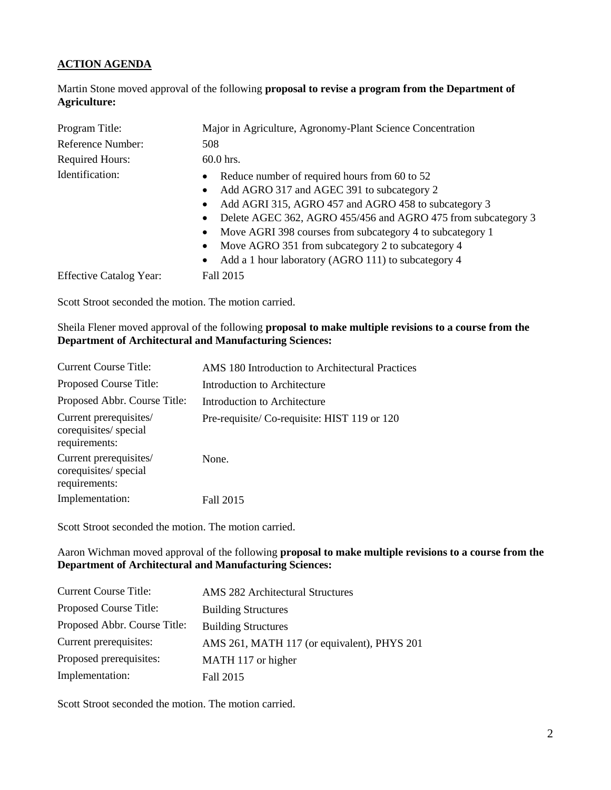# **ACTION AGENDA**

Martin Stone moved approval of the following **proposal to revise a program from the Department of Agriculture:**

| Program Title:                 | Major in Agriculture, Agronomy-Plant Science Concentration                                                                                                                                                                                                                                                                                                                                                                           |  |
|--------------------------------|--------------------------------------------------------------------------------------------------------------------------------------------------------------------------------------------------------------------------------------------------------------------------------------------------------------------------------------------------------------------------------------------------------------------------------------|--|
| Reference Number:              | 508                                                                                                                                                                                                                                                                                                                                                                                                                                  |  |
| <b>Required Hours:</b>         | $60.0$ hrs.                                                                                                                                                                                                                                                                                                                                                                                                                          |  |
| Identification:                | Reduce number of required hours from 60 to 52<br>Add AGRO 317 and AGEC 391 to subcategory 2<br>$\bullet$<br>Add AGRI 315, AGRO 457 and AGRO 458 to subcategory 3<br>Delete AGEC 362, AGRO 455/456 and AGRO 475 from subcategory 3<br>Move AGRI 398 courses from subcategory 4 to subcategory 1<br>Move AGRO 351 from subcategory 2 to subcategory 4<br>$\bullet$<br>Add a 1 hour laboratory (AGRO 111) to subcategory 4<br>$\bullet$ |  |
| <b>Effective Catalog Year:</b> | Fall 2015                                                                                                                                                                                                                                                                                                                                                                                                                            |  |

Scott Stroot seconded the motion. The motion carried.

## Sheila Flener moved approval of the following **proposal to make multiple revisions to a course from the Department of Architectural and Manufacturing Sciences:**

| <b>Current Course Title:</b>                                     | AMS 180 Introduction to Architectural Practices |
|------------------------------------------------------------------|-------------------------------------------------|
| Proposed Course Title:                                           | Introduction to Architecture                    |
| Proposed Abbr. Course Title:                                     | Introduction to Architecture                    |
| Current prerequisites/<br>corequisites/ special<br>requirements: | Pre-requisite/Co-requisite: HIST 119 or 120     |
| Current prerequisites/<br>corequisites/ special<br>requirements: | None.                                           |
| Implementation:                                                  | Fall 2015                                       |
|                                                                  |                                                 |

Scott Stroot seconded the motion. The motion carried.

## Aaron Wichman moved approval of the following **proposal to make multiple revisions to a course from the Department of Architectural and Manufacturing Sciences:**

| <b>Current Course Title:</b> | <b>AMS 282 Architectural Structures</b>     |
|------------------------------|---------------------------------------------|
| Proposed Course Title:       | <b>Building Structures</b>                  |
| Proposed Abbr. Course Title: | <b>Building Structures</b>                  |
| Current prerequisites:       | AMS 261, MATH 117 (or equivalent), PHYS 201 |
| Proposed prerequisites:      | MATH 117 or higher                          |
| Implementation:              | Fall 2015                                   |

Scott Stroot seconded the motion. The motion carried.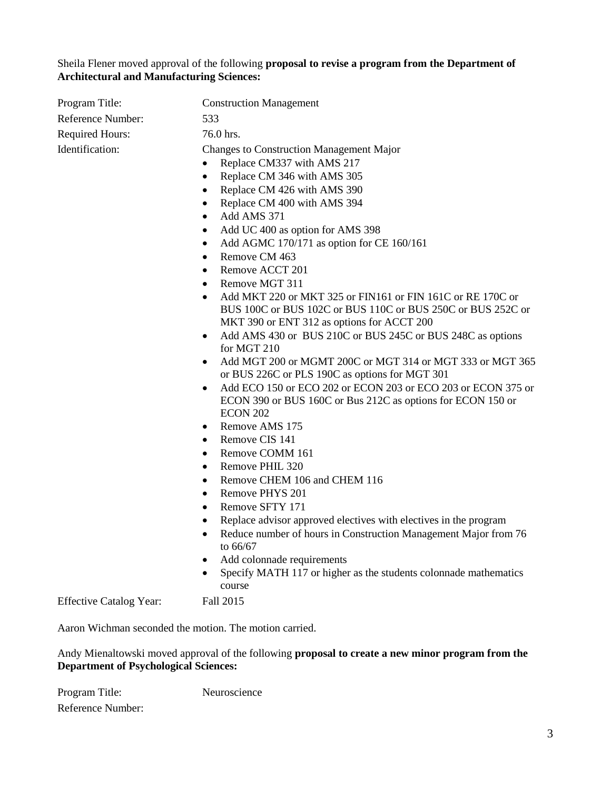Sheila Flener moved approval of the following **proposal to revise a program from the Department of Architectural and Manufacturing Sciences:**

| Program Title:                                         | <b>Construction Management</b>                                                                                                                                                                                                                                                                                                                                                                                                                                                                                                                                                                                                                                                                                                                                                                                                                                                                                                                                                                                                                                                                                                                                                                                                                                                                                                                                                                   |
|--------------------------------------------------------|--------------------------------------------------------------------------------------------------------------------------------------------------------------------------------------------------------------------------------------------------------------------------------------------------------------------------------------------------------------------------------------------------------------------------------------------------------------------------------------------------------------------------------------------------------------------------------------------------------------------------------------------------------------------------------------------------------------------------------------------------------------------------------------------------------------------------------------------------------------------------------------------------------------------------------------------------------------------------------------------------------------------------------------------------------------------------------------------------------------------------------------------------------------------------------------------------------------------------------------------------------------------------------------------------------------------------------------------------------------------------------------------------|
| Reference Number:                                      | 533                                                                                                                                                                                                                                                                                                                                                                                                                                                                                                                                                                                                                                                                                                                                                                                                                                                                                                                                                                                                                                                                                                                                                                                                                                                                                                                                                                                              |
|                                                        |                                                                                                                                                                                                                                                                                                                                                                                                                                                                                                                                                                                                                                                                                                                                                                                                                                                                                                                                                                                                                                                                                                                                                                                                                                                                                                                                                                                                  |
| Required Hours:<br>Identification:                     | 76.0 hrs.<br><b>Changes to Construction Management Major</b><br>Replace CM337 with AMS 217<br>Replace CM 346 with AMS 305<br>٠<br>Replace CM 426 with AMS 390<br>٠<br>Replace CM 400 with AMS 394<br>Add AMS 371<br>٠<br>Add UC 400 as option for AMS 398<br>٠<br>Add AGMC 170/171 as option for CE 160/161<br>٠<br>Remove CM 463<br>٠<br>Remove ACCT 201<br>٠<br>Remove MGT 311<br>٠<br>Add MKT 220 or MKT 325 or FIN161 or FIN 161C or RE 170C or<br>$\bullet$<br>BUS 100C or BUS 102C or BUS 110C or BUS 250C or BUS 252C or<br>MKT 390 or ENT 312 as options for ACCT 200<br>Add AMS 430 or BUS 210C or BUS 245C or BUS 248C as options<br>for MGT 210<br>Add MGT 200 or MGMT 200C or MGT 314 or MGT 333 or MGT 365<br>$\bullet$<br>or BUS 226C or PLS 190C as options for MGT 301<br>Add ECO 150 or ECO 202 or ECON 203 or ECO 203 or ECON 375 or<br>ECON 390 or BUS 160C or Bus 212C as options for ECON 150 or<br><b>ECON 202</b><br>Remove AMS 175<br>٠<br>Remove CIS 141<br>٠<br>Remove COMM 161<br>٠<br>Remove PHIL 320<br>Remove CHEM 106 and CHEM 116<br>٠<br>Remove PHYS 201<br>٠<br>Remove SFTY 171<br>$\bullet$<br>Replace advisor approved electives with electives in the program<br>Reduce number of hours in Construction Management Major from 76<br>$\bullet$<br>to 66/67<br>Add colonnade requirements<br>Specify MATH 117 or higher as the students colonnade mathematics |
|                                                        | course                                                                                                                                                                                                                                                                                                                                                                                                                                                                                                                                                                                                                                                                                                                                                                                                                                                                                                                                                                                                                                                                                                                                                                                                                                                                                                                                                                                           |
| <b>Effective Catalog Year:</b>                         | Fall 2015                                                                                                                                                                                                                                                                                                                                                                                                                                                                                                                                                                                                                                                                                                                                                                                                                                                                                                                                                                                                                                                                                                                                                                                                                                                                                                                                                                                        |
| Aaron Wichman seconded the motion. The motion carried. |                                                                                                                                                                                                                                                                                                                                                                                                                                                                                                                                                                                                                                                                                                                                                                                                                                                                                                                                                                                                                                                                                                                                                                                                                                                                                                                                                                                                  |

Andy Mienaltowski moved approval of the following **proposal to create a new minor program from the Department of Psychological Sciences:**

Program Title: Neuroscience Reference Number: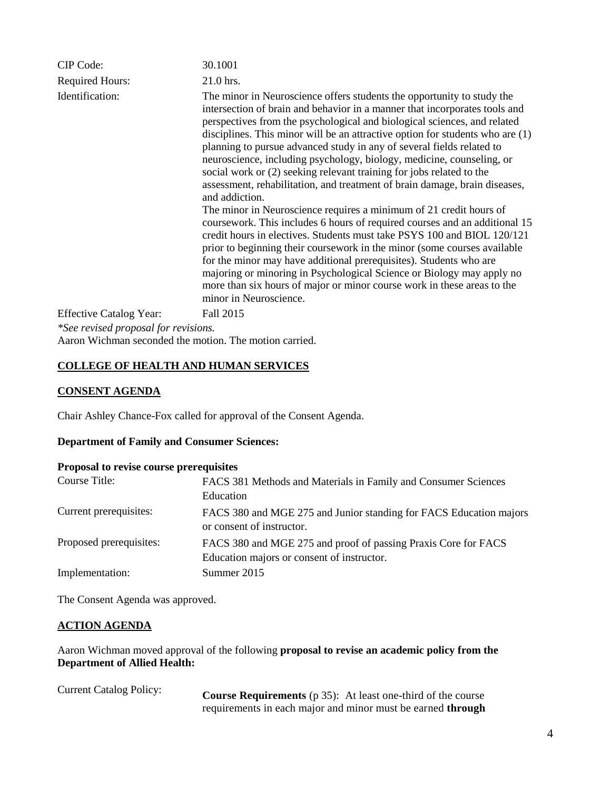| CIP Code:                            | 30.1001                                                                                                                                                                                                                                                                                                                                                                                                                                                                                                                                                                                                                                                                                                                                                                                                                                                                                                                                                                                                                                                                                                                                                                                                      |
|--------------------------------------|--------------------------------------------------------------------------------------------------------------------------------------------------------------------------------------------------------------------------------------------------------------------------------------------------------------------------------------------------------------------------------------------------------------------------------------------------------------------------------------------------------------------------------------------------------------------------------------------------------------------------------------------------------------------------------------------------------------------------------------------------------------------------------------------------------------------------------------------------------------------------------------------------------------------------------------------------------------------------------------------------------------------------------------------------------------------------------------------------------------------------------------------------------------------------------------------------------------|
| <b>Required Hours:</b>               | 21.0 hrs.                                                                                                                                                                                                                                                                                                                                                                                                                                                                                                                                                                                                                                                                                                                                                                                                                                                                                                                                                                                                                                                                                                                                                                                                    |
| Identification:                      | The minor in Neuroscience offers students the opportunity to study the<br>intersection of brain and behavior in a manner that incorporates tools and<br>perspectives from the psychological and biological sciences, and related<br>disciplines. This minor will be an attractive option for students who are $(1)$<br>planning to pursue advanced study in any of several fields related to<br>neuroscience, including psychology, biology, medicine, counseling, or<br>social work or (2) seeking relevant training for jobs related to the<br>assessment, rehabilitation, and treatment of brain damage, brain diseases,<br>and addiction.<br>The minor in Neuroscience requires a minimum of 21 credit hours of<br>coursework. This includes 6 hours of required courses and an additional 15<br>credit hours in electives. Students must take PSYS 100 and BIOL 120/121<br>prior to beginning their coursework in the minor (some courses available<br>for the minor may have additional prerequisites). Students who are<br>majoring or minoring in Psychological Science or Biology may apply no<br>more than six hours of major or minor course work in these areas to the<br>minor in Neuroscience. |
| <b>Effective Catalog Year:</b>       | Fall 2015                                                                                                                                                                                                                                                                                                                                                                                                                                                                                                                                                                                                                                                                                                                                                                                                                                                                                                                                                                                                                                                                                                                                                                                                    |
| *See revised proposal for revisions. |                                                                                                                                                                                                                                                                                                                                                                                                                                                                                                                                                                                                                                                                                                                                                                                                                                                                                                                                                                                                                                                                                                                                                                                                              |

Aaron Wichman seconded the motion. The motion carried.

## **COLLEGE OF HEALTH AND HUMAN SERVICES**

## **CONSENT AGENDA**

Chair Ashley Chance-Fox called for approval of the Consent Agenda.

## **Department of Family and Consumer Sciences:**

#### **Proposal to revise course prerequisites**

| Course Title:           | FACS 381 Methods and Materials in Family and Consumer Sciences<br>Education                                  |
|-------------------------|--------------------------------------------------------------------------------------------------------------|
| Current prerequisites:  | FACS 380 and MGE 275 and Junior standing for FACS Education majors<br>or consent of instructor.              |
| Proposed prerequisites: | FACS 380 and MGE 275 and proof of passing Praxis Core for FACS<br>Education majors or consent of instructor. |
| Implementation:         | Summer 2015                                                                                                  |

The Consent Agenda was approved.

## **ACTION AGENDA**

Aaron Wichman moved approval of the following **proposal to revise an academic policy from the Department of Allied Health:**

Current Catalog Policy: **Course Requirements** (p 35): At least one-third of the course requirements in each major and minor must be earned **through**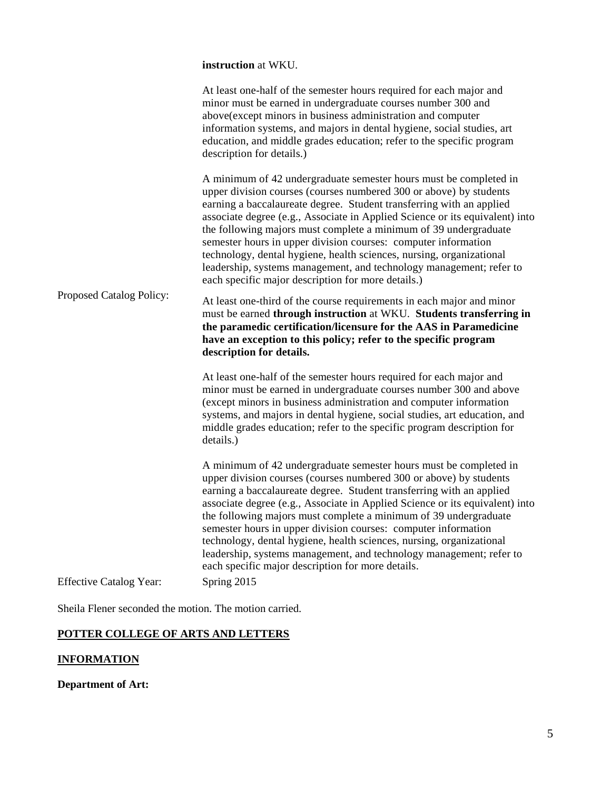**instruction** at WKU.

| Proposed Catalog Policy:       | At least one-half of the semester hours required for each major and<br>minor must be earned in undergraduate courses number 300 and<br>above(except minors in business administration and computer<br>information systems, and majors in dental hygiene, social studies, art<br>education, and middle grades education; refer to the specific program<br>description for details.)<br>A minimum of 42 undergraduate semester hours must be completed in<br>upper division courses (courses numbered 300 or above) by students                                                                                                             |
|--------------------------------|-------------------------------------------------------------------------------------------------------------------------------------------------------------------------------------------------------------------------------------------------------------------------------------------------------------------------------------------------------------------------------------------------------------------------------------------------------------------------------------------------------------------------------------------------------------------------------------------------------------------------------------------|
|                                | earning a baccalaureate degree. Student transferring with an applied<br>associate degree (e.g., Associate in Applied Science or its equivalent) into<br>the following majors must complete a minimum of 39 undergraduate<br>semester hours in upper division courses: computer information<br>technology, dental hygiene, health sciences, nursing, organizational<br>leadership, systems management, and technology management; refer to<br>each specific major description for more details.)                                                                                                                                           |
|                                | At least one-third of the course requirements in each major and minor<br>must be earned through instruction at WKU. Students transferring in<br>the paramedic certification/licensure for the AAS in Paramedicine<br>have an exception to this policy; refer to the specific program<br>description for details.                                                                                                                                                                                                                                                                                                                          |
|                                | At least one-half of the semester hours required for each major and<br>minor must be earned in undergraduate courses number 300 and above<br>(except minors in business administration and computer information<br>systems, and majors in dental hygiene, social studies, art education, and<br>middle grades education; refer to the specific program description for<br>details.)                                                                                                                                                                                                                                                       |
|                                | A minimum of 42 undergraduate semester hours must be completed in<br>upper division courses (courses numbered 300 or above) by students<br>earning a baccalaureate degree. Student transferring with an applied<br>associate degree (e.g., Associate in Applied Science or its equivalent) into<br>the following majors must complete a minimum of 39 undergraduate<br>semester hours in upper division courses: computer information<br>technology, dental hygiene, health sciences, nursing, organizational<br>leadership, systems management, and technology management; refer to<br>each specific major description for more details. |
| <b>Effective Catalog Year:</b> | Spring 2015                                                                                                                                                                                                                                                                                                                                                                                                                                                                                                                                                                                                                               |

Sheila Flener seconded the motion. The motion carried.

# **POTTER COLLEGE OF ARTS AND LETTERS**

# **INFORMATION**

**Department of Art:**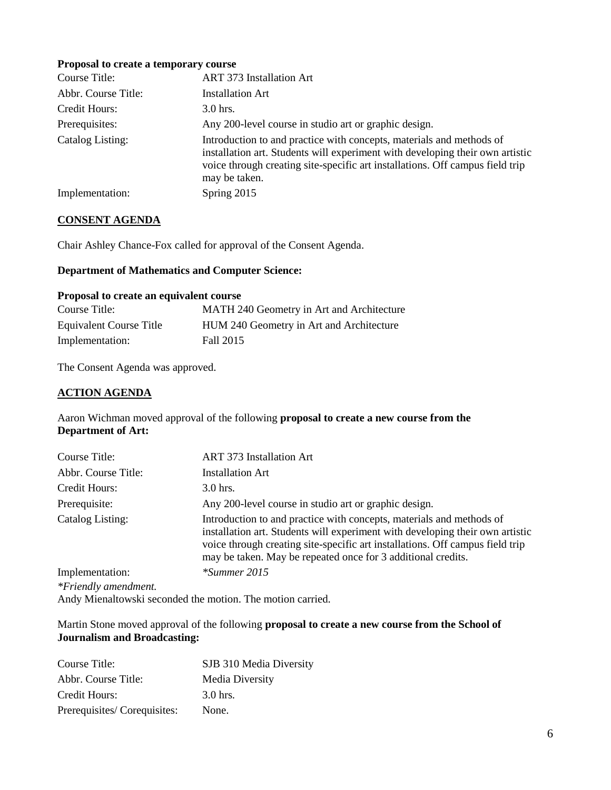#### **Proposal to create a temporary course**

| Course Title:       | <b>ART 373 Installation Art</b>                                                                                                                                                                                                                         |
|---------------------|---------------------------------------------------------------------------------------------------------------------------------------------------------------------------------------------------------------------------------------------------------|
| Abbr. Course Title: | <b>Installation Art</b>                                                                                                                                                                                                                                 |
| Credit Hours:       | $3.0$ hrs.                                                                                                                                                                                                                                              |
| Prerequisites:      | Any 200-level course in studio art or graphic design.                                                                                                                                                                                                   |
| Catalog Listing:    | Introduction to and practice with concepts, materials and methods of<br>installation art. Students will experiment with developing their own artistic<br>voice through creating site-specific art installations. Off campus field trip<br>may be taken. |
| Implementation:     | Spring 2015                                                                                                                                                                                                                                             |

## **CONSENT AGENDA**

Chair Ashley Chance-Fox called for approval of the Consent Agenda.

# **Department of Mathematics and Computer Science:**

#### **Proposal to create an equivalent course**

| Course Title:                  | MATH 240 Geometry in Art and Architecture |
|--------------------------------|-------------------------------------------|
| <b>Equivalent Course Title</b> | HUM 240 Geometry in Art and Architecture  |
| Implementation:                | Fall 2015                                 |

The Consent Agenda was approved.

## **ACTION AGENDA**

Aaron Wichman moved approval of the following **proposal to create a new course from the Department of Art:**

| <b>ART 373 Installation Art</b>                                                                                                                                                                                                                                                                        |
|--------------------------------------------------------------------------------------------------------------------------------------------------------------------------------------------------------------------------------------------------------------------------------------------------------|
| <b>Installation Art</b>                                                                                                                                                                                                                                                                                |
| $3.0$ hrs.                                                                                                                                                                                                                                                                                             |
| Any 200-level course in studio art or graphic design.                                                                                                                                                                                                                                                  |
| Introduction to and practice with concepts, materials and methods of<br>installation art. Students will experiment with developing their own artistic<br>voice through creating site-specific art installations. Off campus field trip<br>may be taken. May be repeated once for 3 additional credits. |
| $*$ Summer 2015                                                                                                                                                                                                                                                                                        |
|                                                                                                                                                                                                                                                                                                        |
|                                                                                                                                                                                                                                                                                                        |

Andy Mienaltowski seconded the motion. The motion carried.

## Martin Stone moved approval of the following **proposal to create a new course from the School of Journalism and Broadcasting:**

| Course Title:               | SJB 310 Media Diversity |
|-----------------------------|-------------------------|
| Abbr. Course Title:         | <b>Media Diversity</b>  |
| Credit Hours:               | 3.0 hrs.                |
| Prerequisites/Corequisites: | None.                   |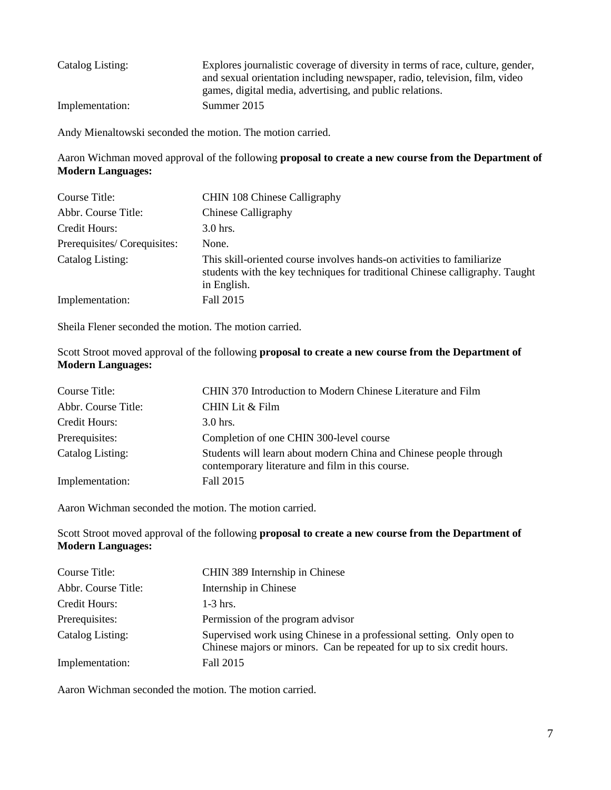| Catalog Listing: | Explores journalistic coverage of diversity in terms of race, culture, gender,<br>and sexual orientation including newspaper, radio, television, film, video |
|------------------|--------------------------------------------------------------------------------------------------------------------------------------------------------------|
|                  | games, digital media, advertising, and public relations.                                                                                                     |
| Implementation:  | Summer 2015                                                                                                                                                  |

Andy Mienaltowski seconded the motion. The motion carried.

Aaron Wichman moved approval of the following **proposal to create a new course from the Department of Modern Languages:**

| Course Title:               | CHIN 108 Chinese Calligraphy                                                                                                                                          |
|-----------------------------|-----------------------------------------------------------------------------------------------------------------------------------------------------------------------|
| Abbr. Course Title:         | Chinese Calligraphy                                                                                                                                                   |
| Credit Hours:               | $3.0$ hrs.                                                                                                                                                            |
| Prerequisites/Corequisites: | None.                                                                                                                                                                 |
| Catalog Listing:            | This skill-oriented course involves hands-on activities to familiarize<br>students with the key techniques for traditional Chinese calligraphy. Taught<br>in English. |
| Implementation:             | Fall 2015                                                                                                                                                             |

Sheila Flener seconded the motion. The motion carried.

Scott Stroot moved approval of the following **proposal to create a new course from the Department of Modern Languages:**

| Course Title:       | CHIN 370 Introduction to Modern Chinese Literature and Film                                                           |
|---------------------|-----------------------------------------------------------------------------------------------------------------------|
| Abbr. Course Title: | CHIN Lit & Film                                                                                                       |
| Credit Hours:       | $3.0$ hrs.                                                                                                            |
| Prerequisites:      | Completion of one CHIN 300-level course                                                                               |
| Catalog Listing:    | Students will learn about modern China and Chinese people through<br>contemporary literature and film in this course. |
| Implementation:     | Fall 2015                                                                                                             |

Aaron Wichman seconded the motion. The motion carried.

Scott Stroot moved approval of the following **proposal to create a new course from the Department of Modern Languages:**

| Course Title:       | CHIN 389 Internship in Chinese                                                                                                                 |
|---------------------|------------------------------------------------------------------------------------------------------------------------------------------------|
| Abbr. Course Title: | Internship in Chinese                                                                                                                          |
| Credit Hours:       | $1-3$ hrs.                                                                                                                                     |
| Prerequisites:      | Permission of the program advisor                                                                                                              |
| Catalog Listing:    | Supervised work using Chinese in a professional setting. Only open to<br>Chinese majors or minors. Can be repeated for up to six credit hours. |
| Implementation:     | Fall 2015                                                                                                                                      |

Aaron Wichman seconded the motion. The motion carried.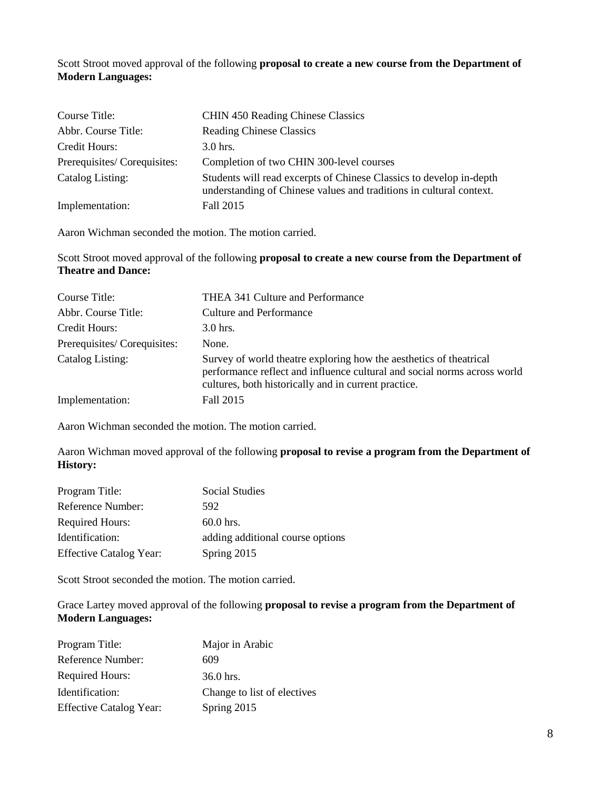Scott Stroot moved approval of the following **proposal to create a new course from the Department of Modern Languages:**

| Course Title:               | <b>CHIN 450 Reading Chinese Classics</b>                                                                                                   |
|-----------------------------|--------------------------------------------------------------------------------------------------------------------------------------------|
| Abbr. Course Title:         | <b>Reading Chinese Classics</b>                                                                                                            |
| Credit Hours:               | $3.0$ hrs.                                                                                                                                 |
| Prerequisites/Corequisites: | Completion of two CHIN 300-level courses                                                                                                   |
| Catalog Listing:            | Students will read excerpts of Chinese Classics to develop in-depth<br>understanding of Chinese values and traditions in cultural context. |
| Implementation:             | Fall 2015                                                                                                                                  |

Aaron Wichman seconded the motion. The motion carried.

Scott Stroot moved approval of the following **proposal to create a new course from the Department of Theatre and Dance:**

| Course Title:               | THEA 341 Culture and Performance                                                                                                                                                                       |
|-----------------------------|--------------------------------------------------------------------------------------------------------------------------------------------------------------------------------------------------------|
| Abbr. Course Title:         | Culture and Performance                                                                                                                                                                                |
| Credit Hours:               | 3.0 hrs.                                                                                                                                                                                               |
| Prerequisites/Corequisites: | None.                                                                                                                                                                                                  |
| Catalog Listing:            | Survey of world theatre exploring how the aesthetics of theatrical<br>performance reflect and influence cultural and social norms across world<br>cultures, both historically and in current practice. |
| Implementation:             | Fall 2015                                                                                                                                                                                              |

Aaron Wichman seconded the motion. The motion carried.

Aaron Wichman moved approval of the following **proposal to revise a program from the Department of History:**

| Program Title:                 | <b>Social Studies</b>            |
|--------------------------------|----------------------------------|
| Reference Number:              | 592                              |
| <b>Required Hours:</b>         | $60.0$ hrs.                      |
| Identification:                | adding additional course options |
| <b>Effective Catalog Year:</b> | Spring 2015                      |

Scott Stroot seconded the motion. The motion carried.

Grace Lartey moved approval of the following **proposal to revise a program from the Department of Modern Languages:**

| Program Title:                 | Major in Arabic             |
|--------------------------------|-----------------------------|
| Reference Number:              | 609                         |
| <b>Required Hours:</b>         | $36.0$ hrs.                 |
| Identification:                | Change to list of electives |
| <b>Effective Catalog Year:</b> | Spring 2015                 |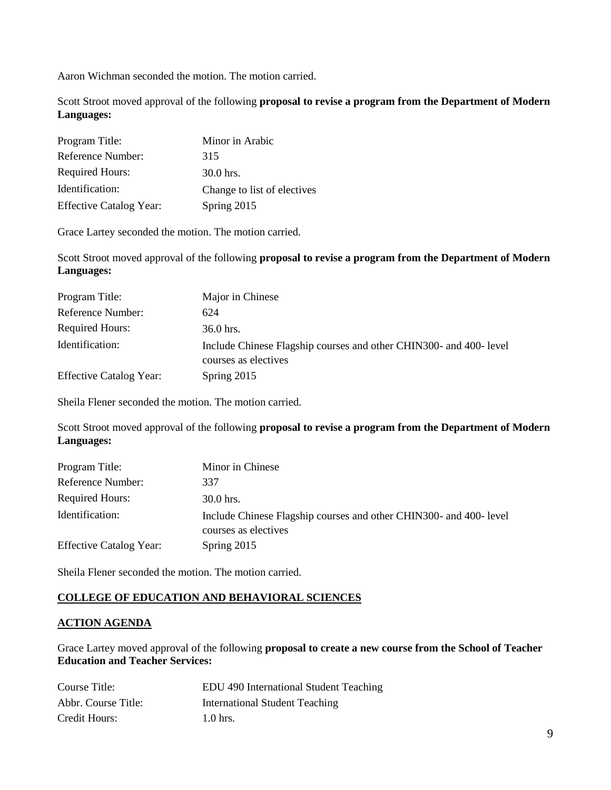Aaron Wichman seconded the motion. The motion carried.

Scott Stroot moved approval of the following **proposal to revise a program from the Department of Modern Languages:**

| Program Title:                 | Minor in Arabic             |
|--------------------------------|-----------------------------|
| Reference Number:              | 315                         |
| <b>Required Hours:</b>         | $30.0$ hrs.                 |
| Identification:                | Change to list of electives |
| <b>Effective Catalog Year:</b> | Spring 2015                 |

Grace Lartey seconded the motion. The motion carried.

Scott Stroot moved approval of the following **proposal to revise a program from the Department of Modern Languages:**

| Program Title:                 | Major in Chinese                                                                           |
|--------------------------------|--------------------------------------------------------------------------------------------|
| Reference Number:              | 624                                                                                        |
| <b>Required Hours:</b>         | $36.0$ hrs.                                                                                |
| Identification:                | Include Chinese Flagship courses and other CHIN300- and 400- level<br>courses as electives |
| <b>Effective Catalog Year:</b> | Spring 2015                                                                                |

Sheila Flener seconded the motion. The motion carried.

Scott Stroot moved approval of the following **proposal to revise a program from the Department of Modern Languages:**

| Program Title:                 | Minor in Chinese                                                                           |
|--------------------------------|--------------------------------------------------------------------------------------------|
| Reference Number:              | 337                                                                                        |
| <b>Required Hours:</b>         | $30.0$ hrs.                                                                                |
| Identification:                | Include Chinese Flagship courses and other CHIN300- and 400- level<br>courses as electives |
| <b>Effective Catalog Year:</b> | Spring 2015                                                                                |

Sheila Flener seconded the motion. The motion carried.

# **COLLEGE OF EDUCATION AND BEHAVIORAL SCIENCES**

## **ACTION AGENDA**

Grace Lartey moved approval of the following **proposal to create a new course from the School of Teacher Education and Teacher Services:**

| Course Title:       | EDU 490 International Student Teaching |
|---------------------|----------------------------------------|
| Abbr. Course Title: | <b>International Student Teaching</b>  |
| Credit Hours:       | $1.0$ hrs.                             |